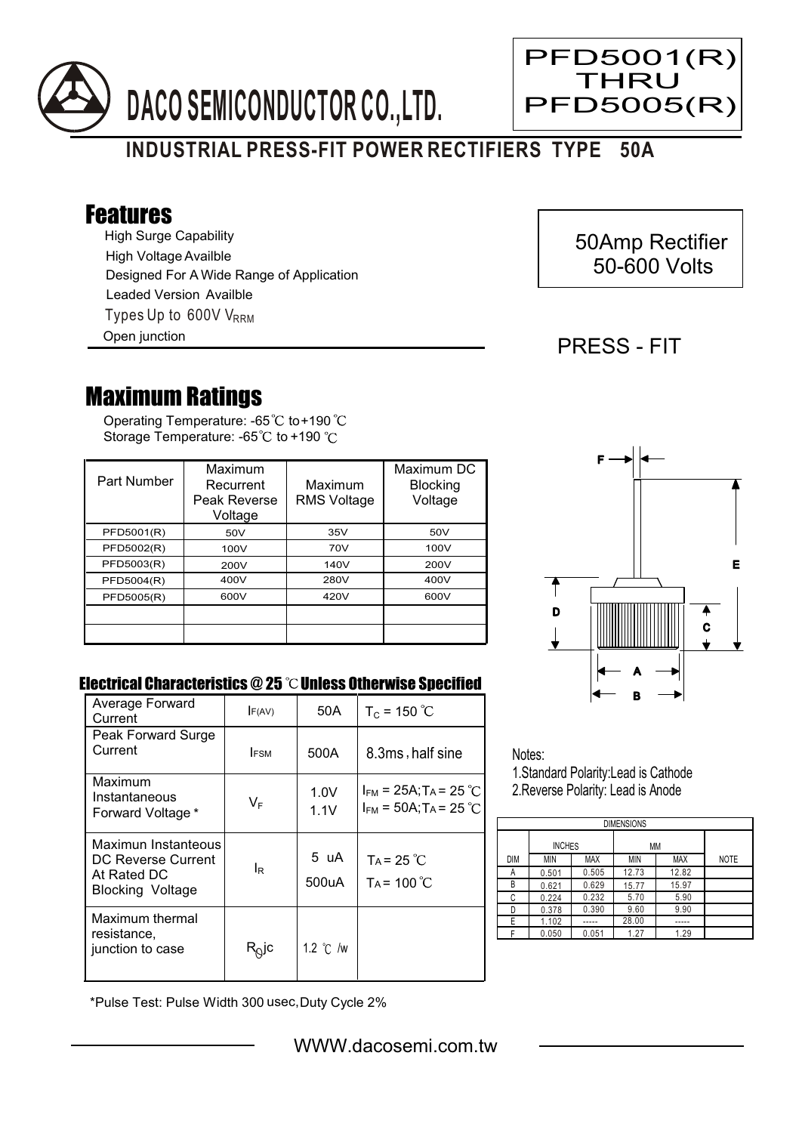

# **INDUSTRIAL PRESS-FIT POWER RECTIFIERS TYPE 50A**

## Features

High Surge Capability Types Up to 600V V<sub>RRM</sub> High Voltage Availble Designed For A Wide Range of Application Leaded Version Availble

Open junction

## 50Amp Rectifier 50-600 Volts

PFD5001(R) THRU PFD5005(R)

### PRESS - FIT

Ξ

## Maximum Ratings

Operating Temperature: -65 to +190 Storage Temperature: -65 $\degree$ C to +190 $\degree$ C

| Part Number | Maximum<br>Recurrent<br>Peak Reverse<br>Voltage | Maximum<br><b>RMS Voltage</b> | Maximum DC<br><b>Blocking</b><br>Voltage |
|-------------|-------------------------------------------------|-------------------------------|------------------------------------------|
| PFD5001(R)  | 50V                                             | 35V                           | 50V                                      |
| PFD5002(R)  | 100V                                            | 70V                           | 100V                                     |
| PFD5003(R)  | 200V                                            | 140V                          | 200V                                     |
| PFD5004(R)  | 400V                                            | 280V                          | 400V                                     |
| PFD5005(R)  | 600V                                            | 420V                          | 600V                                     |
|             |                                                 |                               |                                          |
|             |                                                 |                               |                                          |



#### Electrical Characteristics  $@25$   $^{\circ}\text{C}$  Unless Otherwise Specified

| Average Forward<br>Current                                                   | F(AV)          | 50A                | $T_c = 150 °C$                                                                   |
|------------------------------------------------------------------------------|----------------|--------------------|----------------------------------------------------------------------------------|
| Peak Forward Surge<br>Current                                                | <b>IFSM</b>    | 500A               | 8.3ms, half sine                                                                 |
| Maximum<br>Instantaneous<br>Forward Voltage *                                | $V_F$          | 1.0V<br>1.1V       | $I_{FM}$ = 25A; T <sub>A</sub> = 25 °C<br>$I_{FM}$ = 50A; T <sub>A</sub> = 25 °C |
| Maximun Instanteous<br>DC Reverse Current<br>At Rated DC<br>Blocking Voltage | l <sub>R</sub> | 5 uA<br>500uA      | $Ta = 25 °C$<br>$Ta = 100^{\circ}C$                                              |
| Maximum thermal<br>resistance,<br>junction to case                           | $R_Q$ jc       | 1.2 $\degree$ C /w |                                                                                  |

Notes: 1.Standard Polarity:Lead is Cathode

2.Reverse Polarity: Lead is Anode

| <b>DIMENSIONS</b> |               |       |       |       |             |  |  |  |  |
|-------------------|---------------|-------|-------|-------|-------------|--|--|--|--|
|                   | <b>INCHES</b> |       | ΜМ    |       |             |  |  |  |  |
| <b>DIM</b>        | MIN           | MAX   | MIN   | MAX   | <b>NOTE</b> |  |  |  |  |
| А                 | 0.501         | 0.505 | 12.73 | 12.82 |             |  |  |  |  |
| B                 | 0.621         | 0.629 | 15.77 | 15.97 |             |  |  |  |  |
| C                 | 0.224         | 0.232 | 5.70  | 5.90  |             |  |  |  |  |
| D                 | 0.378         | 0.390 | 9.60  | 9.90  |             |  |  |  |  |
| F                 | 1.102         |       | 28.00 |       |             |  |  |  |  |
|                   | 0.050         | 0.051 | 1.27  | 1.29  |             |  |  |  |  |

\*Pulse Test: Pulse Width 300 usec,Duty Cycle 2%